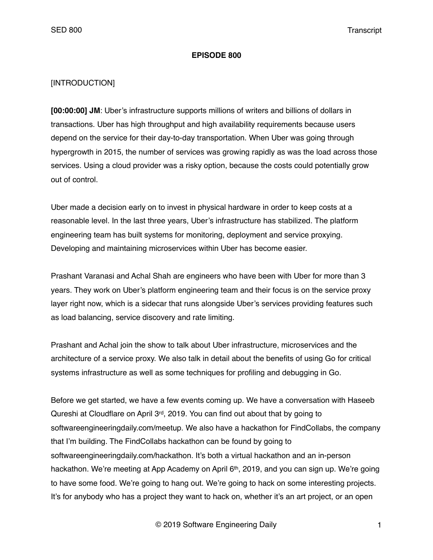#### **EPISODE 800**

## [INTRODUCTION]

**[00:00:00] JM**: Uber's infrastructure supports millions of writers and billions of dollars in transactions. Uber has high throughput and high availability requirements because users depend on the service for their day-to-day transportation. When Uber was going through hypergrowth in 2015, the number of services was growing rapidly as was the load across those services. Using a cloud provider was a risky option, because the costs could potentially grow out of control.

Uber made a decision early on to invest in physical hardware in order to keep costs at a reasonable level. In the last three years, Uber's infrastructure has stabilized. The platform engineering team has built systems for monitoring, deployment and service proxying. Developing and maintaining microservices within Uber has become easier.

Prashant Varanasi and Achal Shah are engineers who have been with Uber for more than 3 years. They work on Uber's platform engineering team and their focus is on the service proxy layer right now, which is a sidecar that runs alongside Uber's services providing features such as load balancing, service discovery and rate limiting.

Prashant and Achal join the show to talk about Uber infrastructure, microservices and the architecture of a service proxy. We also talk in detail about the benefits of using Go for critical systems infrastructure as well as some techniques for profiling and debugging in Go.

Before we get started, we have a few events coming up. We have a conversation with Haseeb Qureshi at Cloudflare on April 3rd, 2019. You can find out about that by going to softwareengineeringdaily.com/meetup. We also have a hackathon for FindCollabs, the company that I'm building. The FindCollabs hackathon can be found by going to softwareengineeringdaily.com/hackathon. It's both a virtual hackathon and an in-person hackathon. We're meeting at App Academy on April 6th, 2019, and you can sign up. We're going to have some food. We're going to hang out. We're going to hack on some interesting projects. It's for anybody who has a project they want to hack on, whether it's an art project, or an open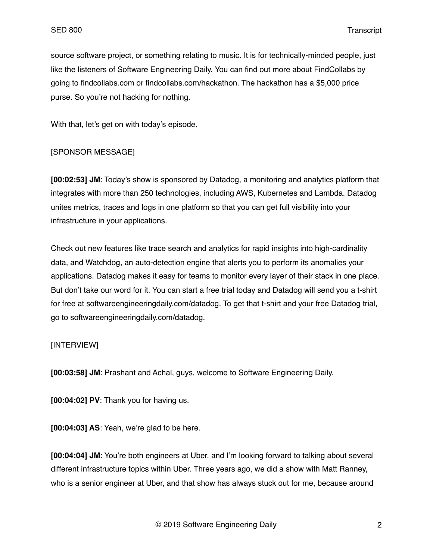source software project, or something relating to music. It is for technically-minded people, just like the listeners of Software Engineering Daily. You can find out more about FindCollabs by going to findcollabs.com or findcollabs.com/hackathon. The hackathon has a \$5,000 price purse. So you're not hacking for nothing.

With that, let's get on with today's episode.

#### [SPONSOR MESSAGE]

**[00:02:53] JM**: Today's show is sponsored by Datadog, a monitoring and analytics platform that integrates with more than 250 technologies, including AWS, Kubernetes and Lambda. Datadog unites metrics, traces and logs in one platform so that you can get full visibility into your infrastructure in your applications.

Check out new features like trace search and analytics for rapid insights into high-cardinality data, and Watchdog, an auto-detection engine that alerts you to perform its anomalies your applications. Datadog makes it easy for teams to monitor every layer of their stack in one place. But don't take our word for it. You can start a free trial today and Datadog will send you a t-shirt for free at softwareengineeringdaily.com/datadog. To get that t-shirt and your free Datadog trial, go to softwareengineeringdaily.com/datadog.

#### [INTERVIEW]

**[00:03:58] JM**: Prashant and Achal, guys, welcome to Software Engineering Daily.

**[00:04:02] PV**: Thank you for having us.

**[00:04:03] AS**: Yeah, we're glad to be here.

**[00:04:04] JM**: You're both engineers at Uber, and I'm looking forward to talking about several different infrastructure topics within Uber. Three years ago, we did a show with Matt Ranney, who is a senior engineer at Uber, and that show has always stuck out for me, because around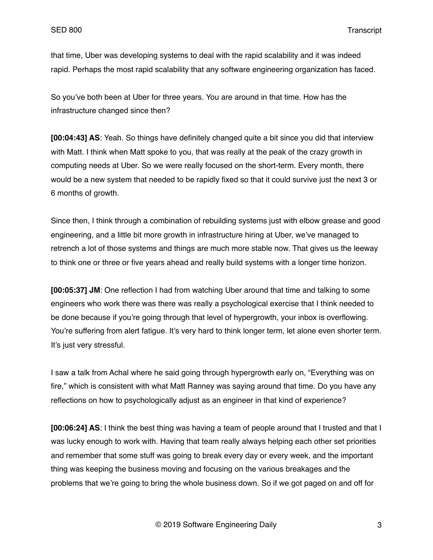that time, Uber was developing systems to deal with the rapid scalability and it was indeed rapid. Perhaps the most rapid scalability that any software engineering organization has faced.

So you've both been at Uber for three years. You are around in that time. How has the infrastructure changed since then?

**[00:04:43] AS**: Yeah. So things have definitely changed quite a bit since you did that interview with Matt. I think when Matt spoke to you, that was really at the peak of the crazy growth in computing needs at Uber. So we were really focused on the short-term. Every month, there would be a new system that needed to be rapidly fixed so that it could survive just the next 3 or 6 months of growth.

Since then, I think through a combination of rebuilding systems just with elbow grease and good engineering, and a little bit more growth in infrastructure hiring at Uber, we've managed to retrench a lot of those systems and things are much more stable now. That gives us the leeway to think one or three or five years ahead and really build systems with a longer time horizon.

**[00:05:37] JM**: One reflection I had from watching Uber around that time and talking to some engineers who work there was there was really a psychological exercise that I think needed to be done because if you're going through that level of hypergrowth, your inbox is overflowing. You're suffering from alert fatigue. It's very hard to think longer term, let alone even shorter term. It's just very stressful.

I saw a talk from Achal where he said going through hypergrowth early on, "Everything was on fire," which is consistent with what Matt Ranney was saying around that time. Do you have any reflections on how to psychologically adjust as an engineer in that kind of experience?

**[00:06:24] AS**: I think the best thing was having a team of people around that I trusted and that I was lucky enough to work with. Having that team really always helping each other set priorities and remember that some stuff was going to break every day or every week, and the important thing was keeping the business moving and focusing on the various breakages and the problems that we're going to bring the whole business down. So if we got paged on and off for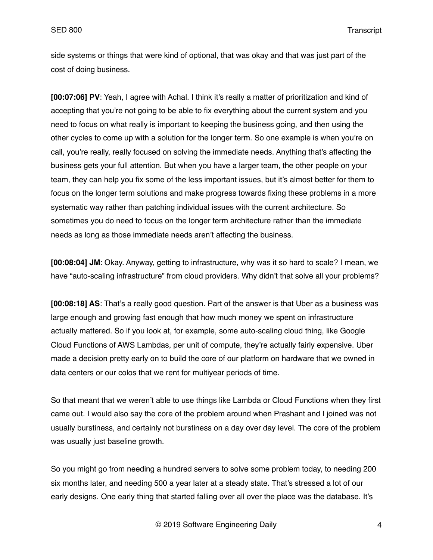side systems or things that were kind of optional, that was okay and that was just part of the cost of doing business.

**[00:07:06] PV**: Yeah, I agree with Achal. I think it's really a matter of prioritization and kind of accepting that you're not going to be able to fix everything about the current system and you need to focus on what really is important to keeping the business going, and then using the other cycles to come up with a solution for the longer term. So one example is when you're on call, you're really, really focused on solving the immediate needs. Anything that's affecting the business gets your full attention. But when you have a larger team, the other people on your team, they can help you fix some of the less important issues, but it's almost better for them to focus on the longer term solutions and make progress towards fixing these problems in a more systematic way rather than patching individual issues with the current architecture. So sometimes you do need to focus on the longer term architecture rather than the immediate needs as long as those immediate needs aren't affecting the business.

**[00:08:04] JM**: Okay. Anyway, getting to infrastructure, why was it so hard to scale? I mean, we have "auto-scaling infrastructure" from cloud providers. Why didn't that solve all your problems?

**[00:08:18] AS**: That's a really good question. Part of the answer is that Uber as a business was large enough and growing fast enough that how much money we spent on infrastructure actually mattered. So if you look at, for example, some auto-scaling cloud thing, like Google Cloud Functions of AWS Lambdas, per unit of compute, they're actually fairly expensive. Uber made a decision pretty early on to build the core of our platform on hardware that we owned in data centers or our colos that we rent for multiyear periods of time.

So that meant that we weren't able to use things like Lambda or Cloud Functions when they first came out. I would also say the core of the problem around when Prashant and I joined was not usually burstiness, and certainly not burstiness on a day over day level. The core of the problem was usually just baseline growth.

So you might go from needing a hundred servers to solve some problem today, to needing 200 six months later, and needing 500 a year later at a steady state. That's stressed a lot of our early designs. One early thing that started falling over all over the place was the database. It's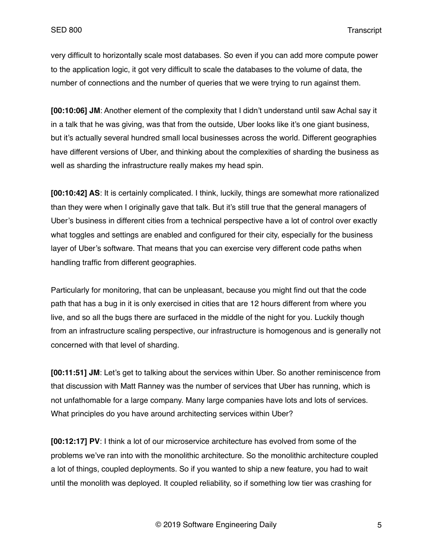very difficult to horizontally scale most databases. So even if you can add more compute power to the application logic, it got very difficult to scale the databases to the volume of data, the number of connections and the number of queries that we were trying to run against them.

**[00:10:06] JM**: Another element of the complexity that I didn't understand until saw Achal say it in a talk that he was giving, was that from the outside, Uber looks like it's one giant business, but it's actually several hundred small local businesses across the world. Different geographies have different versions of Uber, and thinking about the complexities of sharding the business as well as sharding the infrastructure really makes my head spin.

**[00:10:42] AS**: It is certainly complicated. I think, luckily, things are somewhat more rationalized than they were when I originally gave that talk. But it's still true that the general managers of Uber's business in different cities from a technical perspective have a lot of control over exactly what toggles and settings are enabled and configured for their city, especially for the business layer of Uber's software. That means that you can exercise very different code paths when handling traffic from different geographies.

Particularly for monitoring, that can be unpleasant, because you might find out that the code path that has a bug in it is only exercised in cities that are 12 hours different from where you live, and so all the bugs there are surfaced in the middle of the night for you. Luckily though from an infrastructure scaling perspective, our infrastructure is homogenous and is generally not concerned with that level of sharding.

**[00:11:51] JM**: Let's get to talking about the services within Uber. So another reminiscence from that discussion with Matt Ranney was the number of services that Uber has running, which is not unfathomable for a large company. Many large companies have lots and lots of services. What principles do you have around architecting services within Uber?

**[00:12:17] PV**: I think a lot of our microservice architecture has evolved from some of the problems we've ran into with the monolithic architecture. So the monolithic architecture coupled a lot of things, coupled deployments. So if you wanted to ship a new feature, you had to wait until the monolith was deployed. It coupled reliability, so if something low tier was crashing for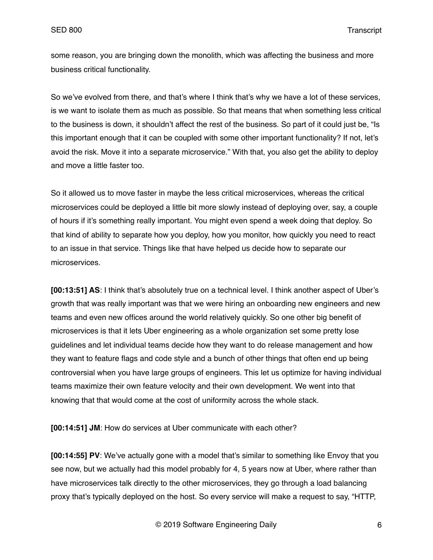some reason, you are bringing down the monolith, which was affecting the business and more business critical functionality.

So we've evolved from there, and that's where I think that's why we have a lot of these services, is we want to isolate them as much as possible. So that means that when something less critical to the business is down, it shouldn't affect the rest of the business. So part of it could just be, "Is this important enough that it can be coupled with some other important functionality? If not, let's avoid the risk. Move it into a separate microservice." With that, you also get the ability to deploy and move a little faster too.

So it allowed us to move faster in maybe the less critical microservices, whereas the critical microservices could be deployed a little bit more slowly instead of deploying over, say, a couple of hours if it's something really important. You might even spend a week doing that deploy. So that kind of ability to separate how you deploy, how you monitor, how quickly you need to react to an issue in that service. Things like that have helped us decide how to separate our microservices.

**[00:13:51] AS**: I think that's absolutely true on a technical level. I think another aspect of Uber's growth that was really important was that we were hiring an onboarding new engineers and new teams and even new offices around the world relatively quickly. So one other big benefit of microservices is that it lets Uber engineering as a whole organization set some pretty lose guidelines and let individual teams decide how they want to do release management and how they want to feature flags and code style and a bunch of other things that often end up being controversial when you have large groups of engineers. This let us optimize for having individual teams maximize their own feature velocity and their own development. We went into that knowing that that would come at the cost of uniformity across the whole stack.

**[00:14:51] JM**: How do services at Uber communicate with each other?

**[00:14:55] PV**: We've actually gone with a model that's similar to something like Envoy that you see now, but we actually had this model probably for 4, 5 years now at Uber, where rather than have microservices talk directly to the other microservices, they go through a load balancing proxy that's typically deployed on the host. So every service will make a request to say, "HTTP,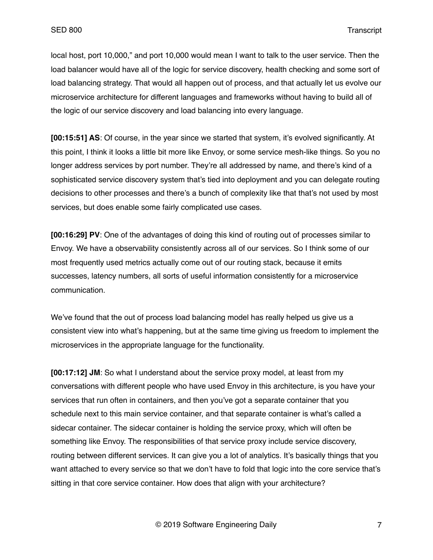local host, port 10,000," and port 10,000 would mean I want to talk to the user service. Then the load balancer would have all of the logic for service discovery, health checking and some sort of load balancing strategy. That would all happen out of process, and that actually let us evolve our microservice architecture for different languages and frameworks without having to build all of the logic of our service discovery and load balancing into every language.

**[00:15:51] AS**: Of course, in the year since we started that system, it's evolved significantly. At this point, I think it looks a little bit more like Envoy, or some service mesh-like things. So you no longer address services by port number. They're all addressed by name, and there's kind of a sophisticated service discovery system that's tied into deployment and you can delegate routing decisions to other processes and there's a bunch of complexity like that that's not used by most services, but does enable some fairly complicated use cases.

**[00:16:29] PV**: One of the advantages of doing this kind of routing out of processes similar to Envoy. We have a observability consistently across all of our services. So I think some of our most frequently used metrics actually come out of our routing stack, because it emits successes, latency numbers, all sorts of useful information consistently for a microservice communication.

We've found that the out of process load balancing model has really helped us give us a consistent view into what's happening, but at the same time giving us freedom to implement the microservices in the appropriate language for the functionality.

**[00:17:12] JM**: So what I understand about the service proxy model, at least from my conversations with different people who have used Envoy in this architecture, is you have your services that run often in containers, and then you've got a separate container that you schedule next to this main service container, and that separate container is what's called a sidecar container. The sidecar container is holding the service proxy, which will often be something like Envoy. The responsibilities of that service proxy include service discovery, routing between different services. It can give you a lot of analytics. It's basically things that you want attached to every service so that we don't have to fold that logic into the core service that's sitting in that core service container. How does that align with your architecture?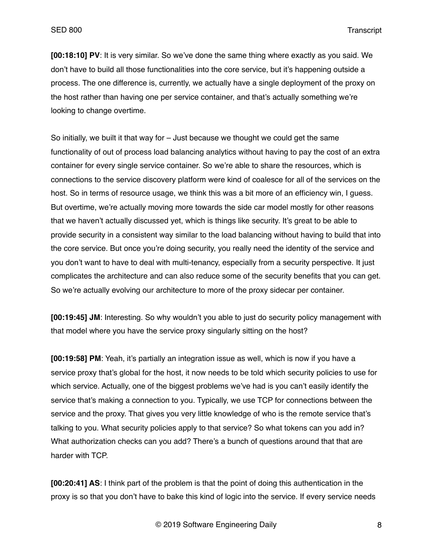**[00:18:10] PV**: It is very similar. So we've done the same thing where exactly as you said. We don't have to build all those functionalities into the core service, but it's happening outside a process. The one difference is, currently, we actually have a single deployment of the proxy on the host rather than having one per service container, and that's actually something we're looking to change overtime.

So initially, we built it that way for – Just because we thought we could get the same functionality of out of process load balancing analytics without having to pay the cost of an extra container for every single service container. So we're able to share the resources, which is connections to the service discovery platform were kind of coalesce for all of the services on the host. So in terms of resource usage, we think this was a bit more of an efficiency win, I guess. But overtime, we're actually moving more towards the side car model mostly for other reasons that we haven't actually discussed yet, which is things like security. It's great to be able to provide security in a consistent way similar to the load balancing without having to build that into the core service. But once you're doing security, you really need the identity of the service and you don't want to have to deal with multi-tenancy, especially from a security perspective. It just complicates the architecture and can also reduce some of the security benefits that you can get. So we're actually evolving our architecture to more of the proxy sidecar per container.

**[00:19:45] JM**: Interesting. So why wouldn't you able to just do security policy management with that model where you have the service proxy singularly sitting on the host?

**[00:19:58] PM**: Yeah, it's partially an integration issue as well, which is now if you have a service proxy that's global for the host, it now needs to be told which security policies to use for which service. Actually, one of the biggest problems we've had is you can't easily identify the service that's making a connection to you. Typically, we use TCP for connections between the service and the proxy. That gives you very little knowledge of who is the remote service that's talking to you. What security policies apply to that service? So what tokens can you add in? What authorization checks can you add? There's a bunch of questions around that that are harder with TCP.

**[00:20:41] AS**: I think part of the problem is that the point of doing this authentication in the proxy is so that you don't have to bake this kind of logic into the service. If every service needs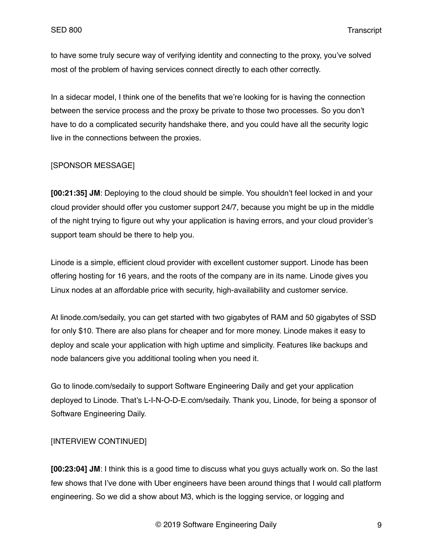to have some truly secure way of verifying identity and connecting to the proxy, you've solved most of the problem of having services connect directly to each other correctly.

In a sidecar model, I think one of the benefits that we're looking for is having the connection between the service process and the proxy be private to those two processes. So you don't have to do a complicated security handshake there, and you could have all the security logic live in the connections between the proxies.

# [SPONSOR MESSAGE]

**[00:21:35] JM**: Deploying to the cloud should be simple. You shouldn't feel locked in and your cloud provider should offer you customer support 24/7, because you might be up in the middle of the night trying to figure out why your application is having errors, and your cloud provider's support team should be there to help you.

Linode is a simple, efficient cloud provider with excellent customer support. Linode has been offering hosting for 16 years, and the roots of the company are in its name. Linode gives you Linux nodes at an affordable price with security, high-availability and customer service.

At linode.com/sedaily, you can get started with two gigabytes of RAM and 50 gigabytes of SSD for only \$10. There are also plans for cheaper and for more money. Linode makes it easy to deploy and scale your application with high uptime and simplicity. Features like backups and node balancers give you additional tooling when you need it.

Go to linode.com/sedaily to support Software Engineering Daily and get your application deployed to Linode. That's L-I-N-O-D-E.com/sedaily. Thank you, Linode, for being a sponsor of Software Engineering Daily.

# [INTERVIEW CONTINUED]

**[00:23:04] JM**: I think this is a good time to discuss what you guys actually work on. So the last few shows that I've done with Uber engineers have been around things that I would call platform engineering. So we did a show about M3, which is the logging service, or logging and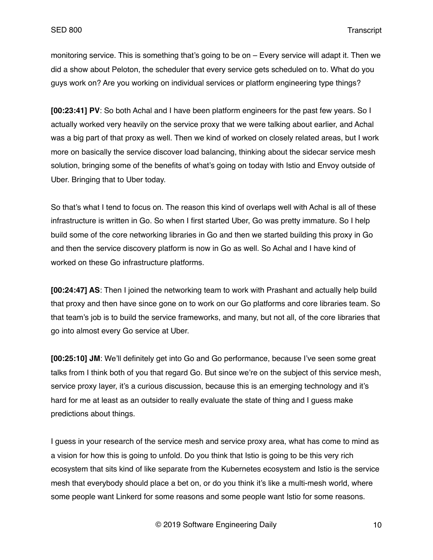monitoring service. This is something that's going to be on – Every service will adapt it. Then we did a show about Peloton, the scheduler that every service gets scheduled on to. What do you guys work on? Are you working on individual services or platform engineering type things?

**[00:23:41] PV**: So both Achal and I have been platform engineers for the past few years. So I actually worked very heavily on the service proxy that we were talking about earlier, and Achal was a big part of that proxy as well. Then we kind of worked on closely related areas, but I work more on basically the service discover load balancing, thinking about the sidecar service mesh solution, bringing some of the benefits of what's going on today with Istio and Envoy outside of Uber. Bringing that to Uber today.

So that's what I tend to focus on. The reason this kind of overlaps well with Achal is all of these infrastructure is written in Go. So when I first started Uber, Go was pretty immature. So I help build some of the core networking libraries in Go and then we started building this proxy in Go and then the service discovery platform is now in Go as well. So Achal and I have kind of worked on these Go infrastructure platforms.

**[00:24:47] AS**: Then I joined the networking team to work with Prashant and actually help build that proxy and then have since gone on to work on our Go platforms and core libraries team. So that team's job is to build the service frameworks, and many, but not all, of the core libraries that go into almost every Go service at Uber.

**[00:25:10] JM**: We'll definitely get into Go and Go performance, because I've seen some great talks from I think both of you that regard Go. But since we're on the subject of this service mesh, service proxy layer, it's a curious discussion, because this is an emerging technology and it's hard for me at least as an outsider to really evaluate the state of thing and I guess make predictions about things.

I guess in your research of the service mesh and service proxy area, what has come to mind as a vision for how this is going to unfold. Do you think that Istio is going to be this very rich ecosystem that sits kind of like separate from the Kubernetes ecosystem and Istio is the service mesh that everybody should place a bet on, or do you think it's like a multi-mesh world, where some people want Linkerd for some reasons and some people want Istio for some reasons.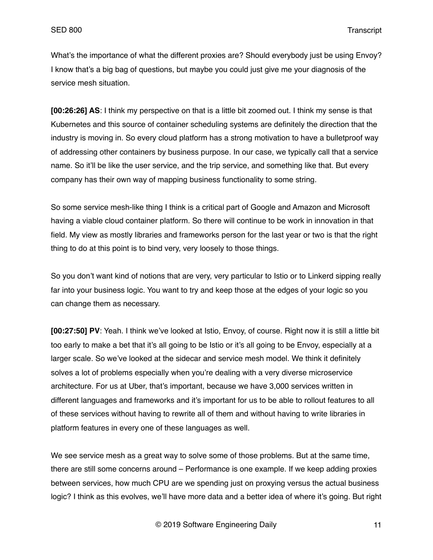What's the importance of what the different proxies are? Should everybody just be using Envoy? I know that's a big bag of questions, but maybe you could just give me your diagnosis of the service mesh situation.

**[00:26:26] AS**: I think my perspective on that is a little bit zoomed out. I think my sense is that Kubernetes and this source of container scheduling systems are definitely the direction that the industry is moving in. So every cloud platform has a strong motivation to have a bulletproof way of addressing other containers by business purpose. In our case, we typically call that a service name. So it'll be like the user service, and the trip service, and something like that. But every company has their own way of mapping business functionality to some string.

So some service mesh-like thing I think is a critical part of Google and Amazon and Microsoft having a viable cloud container platform. So there will continue to be work in innovation in that field. My view as mostly libraries and frameworks person for the last year or two is that the right thing to do at this point is to bind very, very loosely to those things.

So you don't want kind of notions that are very, very particular to Istio or to Linkerd sipping really far into your business logic. You want to try and keep those at the edges of your logic so you can change them as necessary.

**[00:27:50] PV**: Yeah. I think we've looked at Istio, Envoy, of course. Right now it is still a little bit too early to make a bet that it's all going to be Istio or it's all going to be Envoy, especially at a larger scale. So we've looked at the sidecar and service mesh model. We think it definitely solves a lot of problems especially when you're dealing with a very diverse microservice architecture. For us at Uber, that's important, because we have 3,000 services written in different languages and frameworks and it's important for us to be able to rollout features to all of these services without having to rewrite all of them and without having to write libraries in platform features in every one of these languages as well.

We see service mesh as a great way to solve some of those problems. But at the same time, there are still some concerns around – Performance is one example. If we keep adding proxies between services, how much CPU are we spending just on proxying versus the actual business logic? I think as this evolves, we'll have more data and a better idea of where it's going. But right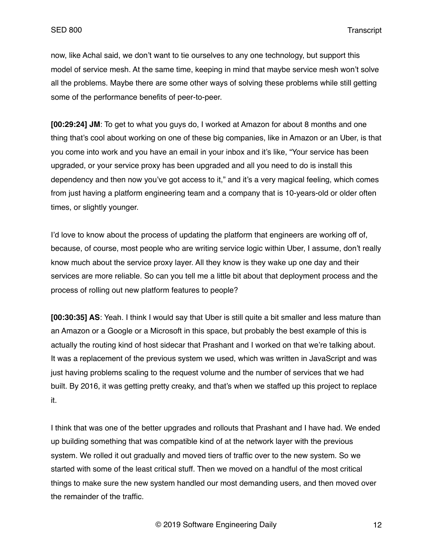now, like Achal said, we don't want to tie ourselves to any one technology, but support this model of service mesh. At the same time, keeping in mind that maybe service mesh won't solve all the problems. Maybe there are some other ways of solving these problems while still getting some of the performance benefits of peer-to-peer.

**[00:29:24] JM**: To get to what you guys do, I worked at Amazon for about 8 months and one thing that's cool about working on one of these big companies, like in Amazon or an Uber, is that you come into work and you have an email in your inbox and it's like, "Your service has been upgraded, or your service proxy has been upgraded and all you need to do is install this dependency and then now you've got access to it," and it's a very magical feeling, which comes from just having a platform engineering team and a company that is 10-years-old or older often times, or slightly younger.

I'd love to know about the process of updating the platform that engineers are working off of, because, of course, most people who are writing service logic within Uber, I assume, don't really know much about the service proxy layer. All they know is they wake up one day and their services are more reliable. So can you tell me a little bit about that deployment process and the process of rolling out new platform features to people?

**[00:30:35] AS**: Yeah. I think I would say that Uber is still quite a bit smaller and less mature than an Amazon or a Google or a Microsoft in this space, but probably the best example of this is actually the routing kind of host sidecar that Prashant and I worked on that we're talking about. It was a replacement of the previous system we used, which was written in JavaScript and was just having problems scaling to the request volume and the number of services that we had built. By 2016, it was getting pretty creaky, and that's when we staffed up this project to replace it.

I think that was one of the better upgrades and rollouts that Prashant and I have had. We ended up building something that was compatible kind of at the network layer with the previous system. We rolled it out gradually and moved tiers of traffic over to the new system. So we started with some of the least critical stuff. Then we moved on a handful of the most critical things to make sure the new system handled our most demanding users, and then moved over the remainder of the traffic.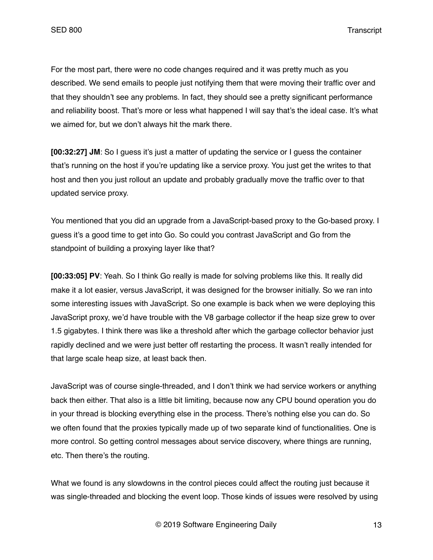For the most part, there were no code changes required and it was pretty much as you described. We send emails to people just notifying them that were moving their traffic over and that they shouldn't see any problems. In fact, they should see a pretty significant performance and reliability boost. That's more or less what happened I will say that's the ideal case. It's what we aimed for, but we don't always hit the mark there.

**[00:32:27] JM**: So I guess it's just a matter of updating the service or I guess the container that's running on the host if you're updating like a service proxy. You just get the writes to that host and then you just rollout an update and probably gradually move the traffic over to that updated service proxy.

You mentioned that you did an upgrade from a JavaScript-based proxy to the Go-based proxy. I guess it's a good time to get into Go. So could you contrast JavaScript and Go from the standpoint of building a proxying layer like that?

**[00:33:05] PV**: Yeah. So I think Go really is made for solving problems like this. It really did make it a lot easier, versus JavaScript, it was designed for the browser initially. So we ran into some interesting issues with JavaScript. So one example is back when we were deploying this JavaScript proxy, we'd have trouble with the V8 garbage collector if the heap size grew to over 1.5 gigabytes. I think there was like a threshold after which the garbage collector behavior just rapidly declined and we were just better off restarting the process. It wasn't really intended for that large scale heap size, at least back then.

JavaScript was of course single-threaded, and I don't think we had service workers or anything back then either. That also is a little bit limiting, because now any CPU bound operation you do in your thread is blocking everything else in the process. There's nothing else you can do. So we often found that the proxies typically made up of two separate kind of functionalities. One is more control. So getting control messages about service discovery, where things are running, etc. Then there's the routing.

What we found is any slowdowns in the control pieces could affect the routing just because it was single-threaded and blocking the event loop. Those kinds of issues were resolved by using

© 2019 Software Engineering Daily 13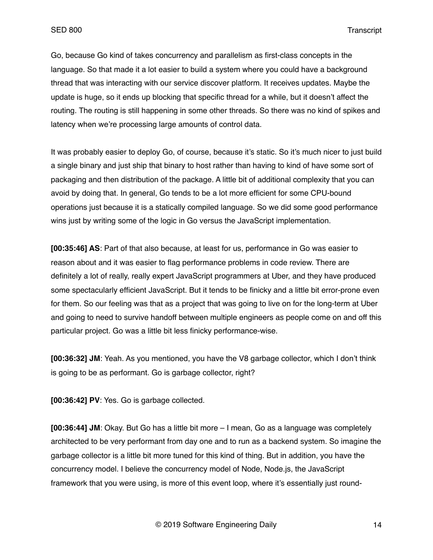Go, because Go kind of takes concurrency and parallelism as first-class concepts in the language. So that made it a lot easier to build a system where you could have a background thread that was interacting with our service discover platform. It receives updates. Maybe the update is huge, so it ends up blocking that specific thread for a while, but it doesn't affect the routing. The routing is still happening in some other threads. So there was no kind of spikes and latency when we're processing large amounts of control data.

It was probably easier to deploy Go, of course, because it's static. So it's much nicer to just build a single binary and just ship that binary to host rather than having to kind of have some sort of packaging and then distribution of the package. A little bit of additional complexity that you can avoid by doing that. In general, Go tends to be a lot more efficient for some CPU-bound operations just because it is a statically compiled language. So we did some good performance wins just by writing some of the logic in Go versus the JavaScript implementation.

**[00:35:46] AS**: Part of that also because, at least for us, performance in Go was easier to reason about and it was easier to flag performance problems in code review. There are definitely a lot of really, really expert JavaScript programmers at Uber, and they have produced some spectacularly efficient JavaScript. But it tends to be finicky and a little bit error-prone even for them. So our feeling was that as a project that was going to live on for the long-term at Uber and going to need to survive handoff between multiple engineers as people come on and off this particular project. Go was a little bit less finicky performance-wise.

**[00:36:32] JM**: Yeah. As you mentioned, you have the V8 garbage collector, which I don't think is going to be as performant. Go is garbage collector, right?

**[00:36:42] PV**: Yes. Go is garbage collected.

**[00:36:44] JM**: Okay. But Go has a little bit more – I mean, Go as a language was completely architected to be very performant from day one and to run as a backend system. So imagine the garbage collector is a little bit more tuned for this kind of thing. But in addition, you have the concurrency model. I believe the concurrency model of Node, Node.js, the JavaScript framework that you were using, is more of this event loop, where it's essentially just round-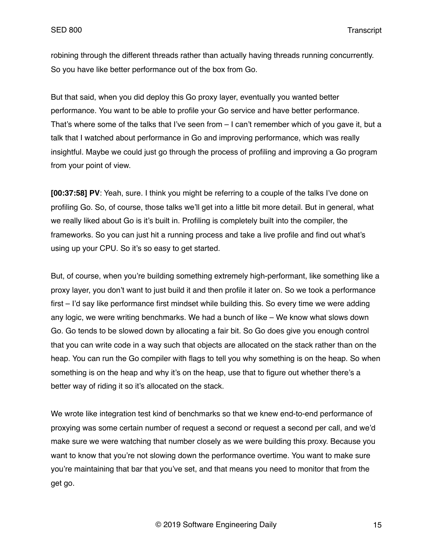robining through the different threads rather than actually having threads running concurrently. So you have like better performance out of the box from Go.

But that said, when you did deploy this Go proxy layer, eventually you wanted better performance. You want to be able to profile your Go service and have better performance. That's where some of the talks that I've seen from – I can't remember which of you gave it, but a talk that I watched about performance in Go and improving performance, which was really insightful. Maybe we could just go through the process of profiling and improving a Go program from your point of view.

**[00:37:58] PV**: Yeah, sure. I think you might be referring to a couple of the talks I've done on profiling Go. So, of course, those talks we'll get into a little bit more detail. But in general, what we really liked about Go is it's built in. Profiling is completely built into the compiler, the frameworks. So you can just hit a running process and take a live profile and find out what's using up your CPU. So it's so easy to get started.

But, of course, when you're building something extremely high-performant, like something like a proxy layer, you don't want to just build it and then profile it later on. So we took a performance first – I'd say like performance first mindset while building this. So every time we were adding any logic, we were writing benchmarks. We had a bunch of like – We know what slows down Go. Go tends to be slowed down by allocating a fair bit. So Go does give you enough control that you can write code in a way such that objects are allocated on the stack rather than on the heap. You can run the Go compiler with flags to tell you why something is on the heap. So when something is on the heap and why it's on the heap, use that to figure out whether there's a better way of riding it so it's allocated on the stack.

We wrote like integration test kind of benchmarks so that we knew end-to-end performance of proxying was some certain number of request a second or request a second per call, and we'd make sure we were watching that number closely as we were building this proxy. Because you want to know that you're not slowing down the performance overtime. You want to make sure you're maintaining that bar that you've set, and that means you need to monitor that from the get go.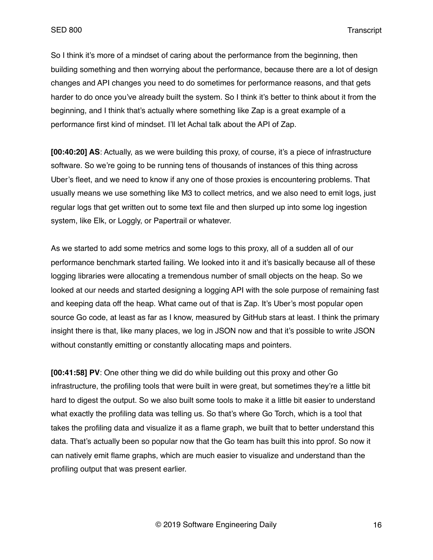So I think it's more of a mindset of caring about the performance from the beginning, then building something and then worrying about the performance, because there are a lot of design changes and API changes you need to do sometimes for performance reasons, and that gets harder to do once you've already built the system. So I think it's better to think about it from the beginning, and I think that's actually where something like Zap is a great example of a performance first kind of mindset. I'll let Achal talk about the API of Zap.

**[00:40:20] AS**: Actually, as we were building this proxy, of course, it's a piece of infrastructure software. So we're going to be running tens of thousands of instances of this thing across Uber's fleet, and we need to know if any one of those proxies is encountering problems. That usually means we use something like M3 to collect metrics, and we also need to emit logs, just regular logs that get written out to some text file and then slurped up into some log ingestion system, like Elk, or Loggly, or Papertrail or whatever.

As we started to add some metrics and some logs to this proxy, all of a sudden all of our performance benchmark started failing. We looked into it and it's basically because all of these logging libraries were allocating a tremendous number of small objects on the heap. So we looked at our needs and started designing a logging API with the sole purpose of remaining fast and keeping data off the heap. What came out of that is Zap. It's Uber's most popular open source Go code, at least as far as I know, measured by GitHub stars at least. I think the primary insight there is that, like many places, we log in JSON now and that it's possible to write JSON without constantly emitting or constantly allocating maps and pointers.

**[00:41:58] PV**: One other thing we did do while building out this proxy and other Go infrastructure, the profiling tools that were built in were great, but sometimes they're a little bit hard to digest the output. So we also built some tools to make it a little bit easier to understand what exactly the profiling data was telling us. So that's where Go Torch, which is a tool that takes the profiling data and visualize it as a flame graph, we built that to better understand this data. That's actually been so popular now that the Go team has built this into pprof. So now it can natively emit flame graphs, which are much easier to visualize and understand than the profiling output that was present earlier.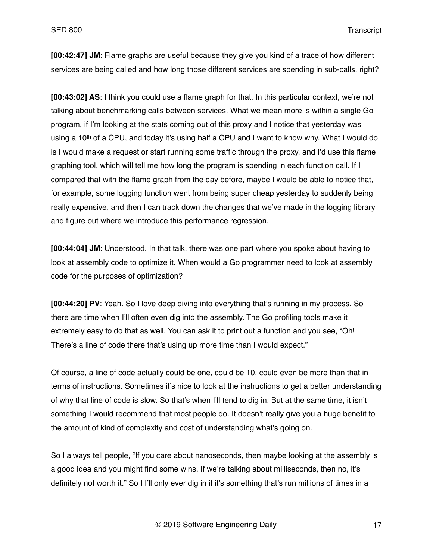**[00:42:47] JM**: Flame graphs are useful because they give you kind of a trace of how different services are being called and how long those different services are spending in sub-calls, right?

**[00:43:02] AS**: I think you could use a flame graph for that. In this particular context, we're not talking about benchmarking calls between services. What we mean more is within a single Go program, if I'm looking at the stats coming out of this proxy and I notice that yesterday was using a 10<sup>th</sup> of a CPU, and today it's using half a CPU and I want to know why. What I would do is I would make a request or start running some traffic through the proxy, and I'd use this flame graphing tool, which will tell me how long the program is spending in each function call. If I compared that with the flame graph from the day before, maybe I would be able to notice that, for example, some logging function went from being super cheap yesterday to suddenly being really expensive, and then I can track down the changes that we've made in the logging library and figure out where we introduce this performance regression.

**[00:44:04] JM**: Understood. In that talk, there was one part where you spoke about having to look at assembly code to optimize it. When would a Go programmer need to look at assembly code for the purposes of optimization?

**[00:44:20] PV**: Yeah. So I love deep diving into everything that's running in my process. So there are time when I'll often even dig into the assembly. The Go profiling tools make it extremely easy to do that as well. You can ask it to print out a function and you see, "Oh! There's a line of code there that's using up more time than I would expect."

Of course, a line of code actually could be one, could be 10, could even be more than that in terms of instructions. Sometimes it's nice to look at the instructions to get a better understanding of why that line of code is slow. So that's when I'll tend to dig in. But at the same time, it isn't something I would recommend that most people do. It doesn't really give you a huge benefit to the amount of kind of complexity and cost of understanding what's going on.

So I always tell people, "If you care about nanoseconds, then maybe looking at the assembly is a good idea and you might find some wins. If we're talking about milliseconds, then no, it's definitely not worth it." So I I'll only ever dig in if it's something that's run millions of times in a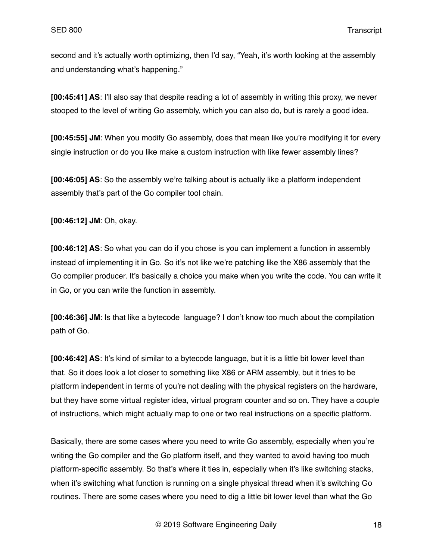second and it's actually worth optimizing, then I'd say, "Yeah, it's worth looking at the assembly and understanding what's happening."

**[00:45:41] AS**: I'll also say that despite reading a lot of assembly in writing this proxy, we never stooped to the level of writing Go assembly, which you can also do, but is rarely a good idea.

**[00:45:55] JM**: When you modify Go assembly, does that mean like you're modifying it for every single instruction or do you like make a custom instruction with like fewer assembly lines?

**[00:46:05] AS**: So the assembly we're talking about is actually like a platform independent assembly that's part of the Go compiler tool chain.

**[00:46:12] JM**: Oh, okay.

**[00:46:12] AS**: So what you can do if you chose is you can implement a function in assembly instead of implementing it in Go. So it's not like we're patching like the X86 assembly that the Go compiler producer. It's basically a choice you make when you write the code. You can write it in Go, or you can write the function in assembly.

**[00:46:36] JM**: Is that like a bytecode language? I don't know too much about the compilation path of Go.

**[00:46:42] AS**: It's kind of similar to a bytecode language, but it is a little bit lower level than that. So it does look a lot closer to something like X86 or ARM assembly, but it tries to be platform independent in terms of you're not dealing with the physical registers on the hardware, but they have some virtual register idea, virtual program counter and so on. They have a couple of instructions, which might actually map to one or two real instructions on a specific platform.

Basically, there are some cases where you need to write Go assembly, especially when you're writing the Go compiler and the Go platform itself, and they wanted to avoid having too much platform-specific assembly. So that's where it ties in, especially when it's like switching stacks, when it's switching what function is running on a single physical thread when it's switching Go routines. There are some cases where you need to dig a little bit lower level than what the Go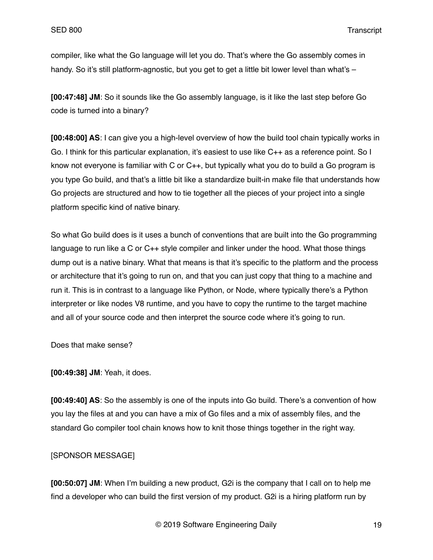compiler, like what the Go language will let you do. That's where the Go assembly comes in handy. So it's still platform-agnostic, but you get to get a little bit lower level than what's –

**[00:47:48] JM**: So it sounds like the Go assembly language, is it like the last step before Go code is turned into a binary?

**[00:48:00] AS**: I can give you a high-level overview of how the build tool chain typically works in Go. I think for this particular explanation, it's easiest to use like C++ as a reference point. So I know not everyone is familiar with C or C++, but typically what you do to build a Go program is you type Go build, and that's a little bit like a standardize built-in make file that understands how Go projects are structured and how to tie together all the pieces of your project into a single platform specific kind of native binary.

So what Go build does is it uses a bunch of conventions that are built into the Go programming language to run like a C or C++ style compiler and linker under the hood. What those things dump out is a native binary. What that means is that it's specific to the platform and the process or architecture that it's going to run on, and that you can just copy that thing to a machine and run it. This is in contrast to a language like Python, or Node, where typically there's a Python interpreter or like nodes V8 runtime, and you have to copy the runtime to the target machine and all of your source code and then interpret the source code where it's going to run.

Does that make sense?

**[00:49:38] JM**: Yeah, it does.

**[00:49:40] AS**: So the assembly is one of the inputs into Go build. There's a convention of how you lay the files at and you can have a mix of Go files and a mix of assembly files, and the standard Go compiler tool chain knows how to knit those things together in the right way.

## [SPONSOR MESSAGE]

**[00:50:07] JM**: When I'm building a new product, G2i is the company that I call on to help me find a developer who can build the first version of my product. G2i is a hiring platform run by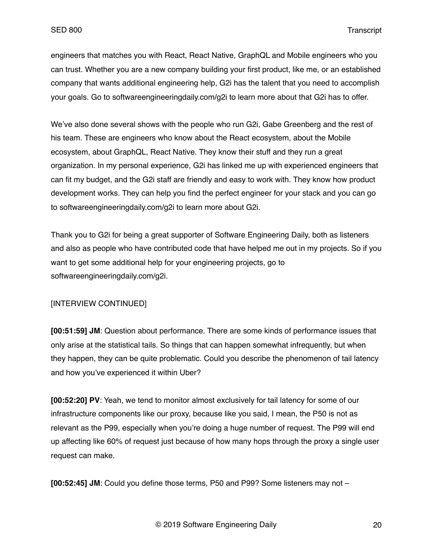engineers that matches you with React, React Native, GraphQL and Mobile engineers who you can trust. Whether you are a new company building your first product, like me, or an established company that wants additional engineering help, G2i has the talent that you need to accomplish your goals. Go to softwareengineeringdaily.com/g2i to learn more about that G2i has to offer.

We've also done several shows with the people who run G2i, Gabe Greenberg and the rest of his team. These are engineers who know about the React ecosystem, about the Mobile ecosystem, about GraphQL, React Native. They know their stuff and they run a great organization. In my personal experience, G2i has linked me up with experienced engineers that can fit my budget, and the G2i staff are friendly and easy to work with. They know how product development works. They can help you find the perfect engineer for your stack and you can go to softwareengineeringdaily.com/g2i to learn more about G2i.

Thank you to G2i for being a great supporter of Software Engineering Daily, both as listeners and also as people who have contributed code that have helped me out in my projects. So if you want to get some additional help for your engineering projects, go to softwareengineeringdaily.com/g2i.

# [INTERVIEW CONTINUED]

**[00:51:59] JM**: Question about performance. There are some kinds of performance issues that only arise at the statistical tails. So things that can happen somewhat infrequently, but when they happen, they can be quite problematic. Could you describe the phenomenon of tail latency and how you've experienced it within Uber?

**[00:52:20] PV**: Yeah, we tend to monitor almost exclusively for tail latency for some of our infrastructure components like our proxy, because like you said, I mean, the P50 is not as relevant as the P99, especially when you're doing a huge number of request. The P99 will end up affecting like 60% of request just because of how many hops through the proxy a single user request can make.

**[00:52:45] JM**: Could you define those terms, P50 and P99? Some listeners may not –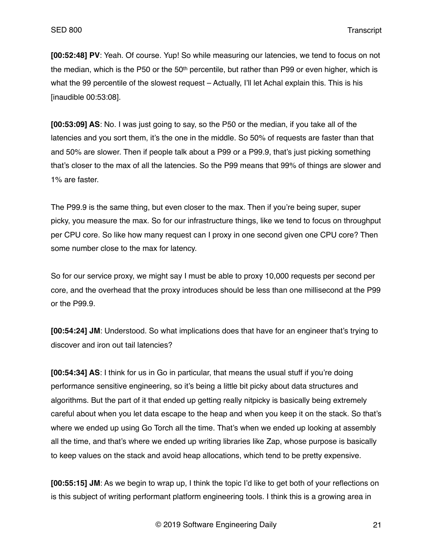**[00:52:48] PV**: Yeah. Of course. Yup! So while measuring our latencies, we tend to focus on not the median, which is the P50 or the 50<sup>th</sup> percentile, but rather than P99 or even higher, which is what the 99 percentile of the slowest request – Actually, I'll let Achal explain this. This is his [inaudible 00:53:08].

**[00:53:09] AS**: No. I was just going to say, so the P50 or the median, if you take all of the latencies and you sort them, it's the one in the middle. So 50% of requests are faster than that and 50% are slower. Then if people talk about a P99 or a P99.9, that's just picking something that's closer to the max of all the latencies. So the P99 means that 99% of things are slower and 1% are faster.

The P99.9 is the same thing, but even closer to the max. Then if you're being super, super picky, you measure the max. So for our infrastructure things, like we tend to focus on throughput per CPU core. So like how many request can I proxy in one second given one CPU core? Then some number close to the max for latency.

So for our service proxy, we might say I must be able to proxy 10,000 requests per second per core, and the overhead that the proxy introduces should be less than one millisecond at the P99 or the P99.9.

**[00:54:24] JM**: Understood. So what implications does that have for an engineer that's trying to discover and iron out tail latencies?

**[00:54:34] AS**: I think for us in Go in particular, that means the usual stuff if you're doing performance sensitive engineering, so it's being a little bit picky about data structures and algorithms. But the part of it that ended up getting really nitpicky is basically being extremely careful about when you let data escape to the heap and when you keep it on the stack. So that's where we ended up using Go Torch all the time. That's when we ended up looking at assembly all the time, and that's where we ended up writing libraries like Zap, whose purpose is basically to keep values on the stack and avoid heap allocations, which tend to be pretty expensive.

**[00:55:15] JM**: As we begin to wrap up, I think the topic I'd like to get both of your reflections on is this subject of writing performant platform engineering tools. I think this is a growing area in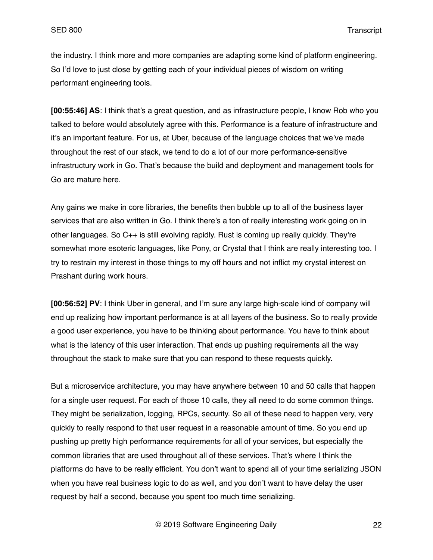the industry. I think more and more companies are adapting some kind of platform engineering. So I'd love to just close by getting each of your individual pieces of wisdom on writing performant engineering tools.

**[00:55:46] AS**: I think that's a great question, and as infrastructure people, I know Rob who you talked to before would absolutely agree with this. Performance is a feature of infrastructure and it's an important feature. For us, at Uber, because of the language choices that we've made throughout the rest of our stack, we tend to do a lot of our more performance-sensitive infrastructury work in Go. That's because the build and deployment and management tools for Go are mature here.

Any gains we make in core libraries, the benefits then bubble up to all of the business layer services that are also written in Go. I think there's a ton of really interesting work going on in other languages. So C++ is still evolving rapidly. Rust is coming up really quickly. They're somewhat more esoteric languages, like Pony, or Crystal that I think are really interesting too. I try to restrain my interest in those things to my off hours and not inflict my crystal interest on Prashant during work hours.

**[00:56:52] PV**: I think Uber in general, and I'm sure any large high-scale kind of company will end up realizing how important performance is at all layers of the business. So to really provide a good user experience, you have to be thinking about performance. You have to think about what is the latency of this user interaction. That ends up pushing requirements all the way throughout the stack to make sure that you can respond to these requests quickly.

But a microservice architecture, you may have anywhere between 10 and 50 calls that happen for a single user request. For each of those 10 calls, they all need to do some common things. They might be serialization, logging, RPCs, security. So all of these need to happen very, very quickly to really respond to that user request in a reasonable amount of time. So you end up pushing up pretty high performance requirements for all of your services, but especially the common libraries that are used throughout all of these services. That's where I think the platforms do have to be really efficient. You don't want to spend all of your time serializing JSON when you have real business logic to do as well, and you don't want to have delay the user request by half a second, because you spent too much time serializing.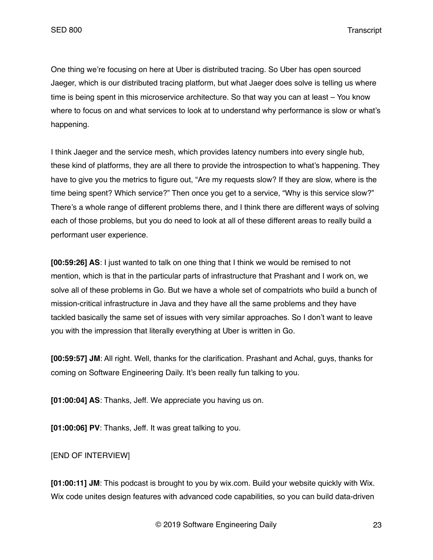One thing we're focusing on here at Uber is distributed tracing. So Uber has open sourced Jaeger, which is our distributed tracing platform, but what Jaeger does solve is telling us where time is being spent in this microservice architecture. So that way you can at least – You know where to focus on and what services to look at to understand why performance is slow or what's happening.

I think Jaeger and the service mesh, which provides latency numbers into every single hub, these kind of platforms, they are all there to provide the introspection to what's happening. They have to give you the metrics to figure out, "Are my requests slow? If they are slow, where is the time being spent? Which service?" Then once you get to a service, "Why is this service slow?" There's a whole range of different problems there, and I think there are different ways of solving each of those problems, but you do need to look at all of these different areas to really build a performant user experience.

**[00:59:26] AS**: I just wanted to talk on one thing that I think we would be remised to not mention, which is that in the particular parts of infrastructure that Prashant and I work on, we solve all of these problems in Go. But we have a whole set of compatriots who build a bunch of mission-critical infrastructure in Java and they have all the same problems and they have tackled basically the same set of issues with very similar approaches. So I don't want to leave you with the impression that literally everything at Uber is written in Go.

**[00:59:57] JM**: All right. Well, thanks for the clarification. Prashant and Achal, guys, thanks for coming on Software Engineering Daily. It's been really fun talking to you.

**[01:00:04] AS**: Thanks, Jeff. We appreciate you having us on.

**[01:00:06] PV**: Thanks, Jeff. It was great talking to you.

## [END OF INTERVIEW]

**[01:00:11] JM**: This podcast is brought to you by wix.com. Build your website quickly with Wix. Wix code unites design features with advanced code capabilities, so you can build data-driven